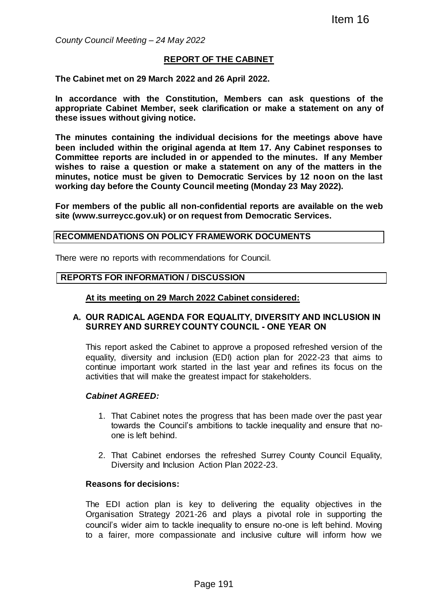*County Council Meeting – 24 May 2022*

### **REPORT OF THE CABINET**

**The Cabinet met on 29 March 2022 and 26 April 2022.**

**In accordance with the Constitution, Members can ask questions of the appropriate Cabinet Member, seek clarification or make a statement on any of these issues without giving notice.**

**The minutes containing the individual decisions for the meetings above have been included within the original agenda at Item 17. Any Cabinet responses to Committee reports are included in or appended to the minutes. If any Member wishes to raise a question or make a statement on any of the matters in the minutes, notice must be given to Democratic Services by 12 noon on the last working day before the County Council meeting (Monday 23 May 2022).** Item 16<br>
TOF THE CABINET<br>
and 26 April 2022.<br>
ution, Members can ask questions of<br>
k clarification or make a statement on any<br>
idual decisions for the meetings above h.<br>
agenda at item 17. Any Cabinet responses<br>
or appende

**For members of the public all non-confidential reports are available on the web site (www.surreycc.gov.uk) or on request from Democratic Services.**

#### **RECOMMENDATIONS ON POLICY FRAMEWORK DOCUMENTS**

There were no reports with recommendations for Council.

#### **REPORTS FOR INFORMATION / DISCUSSION**

#### **At its meeting on 29 March 2022 Cabinet considered:**

### **A. OUR RADICAL AGENDA FOR EQUALITY, DIVERSITY AND INCLUSION IN SURREY AND SURREY COUNTY COUNCIL - ONE YEAR ON**

This report asked the Cabinet to approve a proposed refreshed version of the equality, diversity and inclusion (EDI) action plan for 2022-23 that aims to continue important work started in the last year and refines its focus on the activities that will make the greatest impact for stakeholders.

#### *Cabinet AGREED:*

- 1. That Cabinet notes the progress that has been made over the past year towards the Council's ambitions to tackle inequality and ensure that noone is left behind.
- 2. That Cabinet endorses the refreshed Surrey County Council Equality, Diversity and Inclusion Action Plan 2022-23.

#### **Reasons for decisions:**

The EDI action plan is key to delivering the equality objectives in the Organisation Strategy 2021-26 and plays a pivotal role in supporting the council's wider aim to tackle inequality to ensure no-one is left behind. Moving to a fairer, more compassionate and inclusive culture will inform how we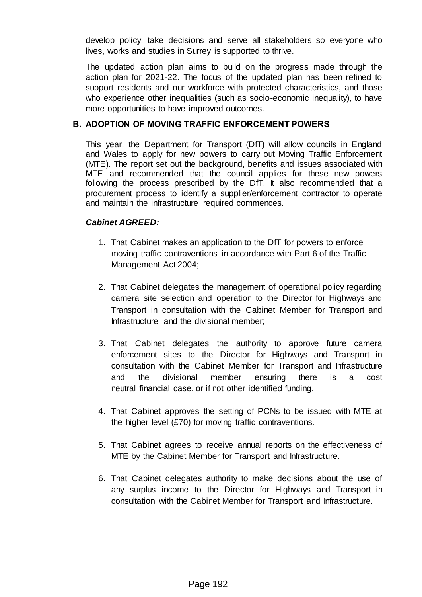develop policy, take decisions and serve all stakeholders so everyone who lives, works and studies in Surrey is supported to thrive.

The updated action plan aims to build on the progress made through the action plan for 2021-22. The focus of the updated plan has been refined to support residents and our workforce with protected characteristics, and those who experience other inequalities (such as socio-economic inequality), to have more opportunities to have improved outcomes.

## **B. ADOPTION OF MOVING TRAFFIC ENFORCEMENT POWERS**

This year, the Department for Transport (DfT) will allow councils in England and Wales to apply for new powers to carry out Moving Traffic Enforcement (MTE). The report set out the background, benefits and issues associated with MTE and recommended that the council applies for these new powers following the process prescribed by the DfT. It also recommended that a procurement process to identify a supplier/enforcement contractor to operate and maintain the infrastructure required commences.

## *Cabinet AGREED:*

- 1. That Cabinet makes an application to the DfT for powers to enforce moving traffic contraventions in accordance with Part 6 of the Traffic Management Act 2004;
- 2. That Cabinet delegates the management of operational policy regarding camera site selection and operation to the Director for Highways and Transport in consultation with the Cabinet Member for Transport and Infrastructure and the divisional member;
- 3. That Cabinet delegates the authority to approve future camera enforcement sites to the Director for Highways and Transport in consultation with the Cabinet Member for Transport and Infrastructure and the divisional member ensuring there is a cost neutral financial case, or if not other identified funding.
- 4. That Cabinet approves the setting of PCNs to be issued with MTE at the higher level (£70) for moving traffic contraventions.
- 5. That Cabinet agrees to receive annual reports on the effectiveness of MTE by the Cabinet Member for Transport and Infrastructure.
- 6. That Cabinet delegates authority to make decisions about the use of any surplus income to the Director for Highways and Transport in consultation with the Cabinet Member for Transport and Infrastructure.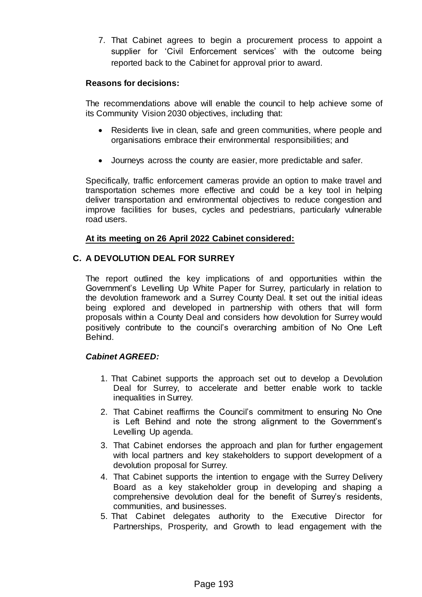7. That Cabinet agrees to begin a procurement process to appoint a supplier for 'Civil Enforcement services' with the outcome being reported back to the Cabinet for approval prior to award.

## **Reasons for decisions:**

The recommendations above will enable the council to help achieve some of its Community Vision 2030 objectives, including that:

- Residents live in clean, safe and green communities, where people and organisations embrace their environmental responsibilities; and
- Journeys across the county are easier, more predictable and safer.

Specifically, traffic enforcement cameras provide an option to make travel and transportation schemes more effective and could be a key tool in helping deliver transportation and environmental objectives to reduce congestion and improve facilities for buses, cycles and pedestrians, particularly vulnerable road users.

# **At its meeting on 26 April 2022 Cabinet considered:**

# **C. A DEVOLUTION DEAL FOR SURREY**

The report outlined the key implications of and opportunities within the Government's Levelling Up White Paper for Surrey, particularly in relation to the devolution framework and a Surrey County Deal. It set out the initial ideas being explored and developed in partnership with others that will form proposals within a County Deal and considers how devolution for Surrey would positively contribute to the council's overarching ambition of No One Left Behind.

# *Cabinet AGREED:*

- 1. That Cabinet supports the approach set out to develop a Devolution Deal for Surrey, to accelerate and better enable work to tackle inequalities in Surrey.
- 2. That Cabinet reaffirms the Council's commitment to ensuring No One is Left Behind and note the strong alignment to the Government's Levelling Up agenda.
- 3. That Cabinet endorses the approach and plan for further engagement with local partners and key stakeholders to support development of a devolution proposal for Surrey.
- 4. That Cabinet supports the intention to engage with the Surrey Delivery Board as a key stakeholder group in developing and shaping a comprehensive devolution deal for the benefit of Surrey's residents, communities, and businesses.
- 5. That Cabinet delegates authority to the Executive Director for Partnerships, Prosperity, and Growth to lead engagement with the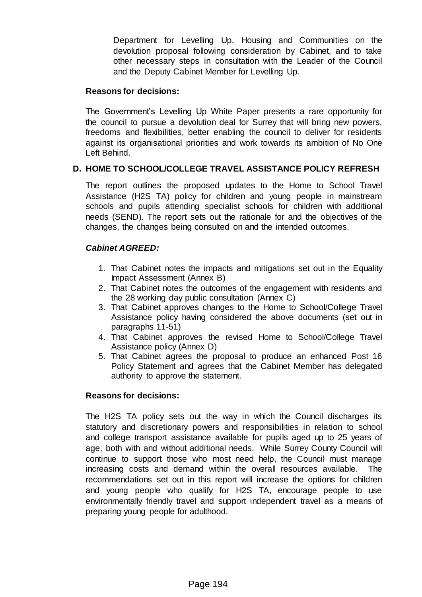Department for Levelling Up, Housing and Communities on the devolution proposal following consideration by Cabinet, and to take other necessary steps in consultation with the Leader of the Council and the Deputy Cabinet Member for Levelling Up.

## **Reasons for decisions:**

The Government's Levelling Up White Paper presents a rare opportunity for the council to pursue a devolution deal for Surrey that will bring new powers, freedoms and flexibilities, better enabling the council to deliver for residents against its organisational priorities and work towards its ambition of No One Left Behind.

## **D. HOME TO SCHOOL/COLLEGE TRAVEL ASSISTANCE POLICY REFRESH**

The report outlines the proposed updates to the Home to School Travel Assistance (H2S TA) policy for children and young people in mainstream schools and pupils attending specialist schools for children with additional needs (SEND). The report sets out the rationale for and the objectives of the changes, the changes being consulted on and the intended outcomes.

# *Cabinet AGREED:*

- 1. That Cabinet notes the impacts and mitigations set out in the Equality Impact Assessment (Annex B)
- 2. That Cabinet notes the outcomes of the engagement with residents and the 28 working day public consultation (Annex C)
- 3. That Cabinet approves changes to the Home to School/College Travel Assistance policy having considered the above documents (set out in paragraphs 11-51)
- 4. That Cabinet approves the revised Home to School/College Travel Assistance policy (Annex D)
- 5. That Cabinet agrees the proposal to produce an enhanced Post 16 Policy Statement and agrees that the Cabinet Member has delegated authority to approve the statement.

## **Reasons for decisions:**

The H2S TA policy sets out the way in which the Council discharges its statutory and discretionary powers and responsibilities in relation to school and college transport assistance available for pupils aged up to 25 years of age, both with and without additional needs. While Surrey County Council will continue to support those who most need help, the Council must manage increasing costs and demand within the overall resources available. The recommendations set out in this report will increase the options for children and young people who qualify for H2S TA, encourage people to use environmentally friendly travel and support independent travel as a means of preparing young people for adulthood.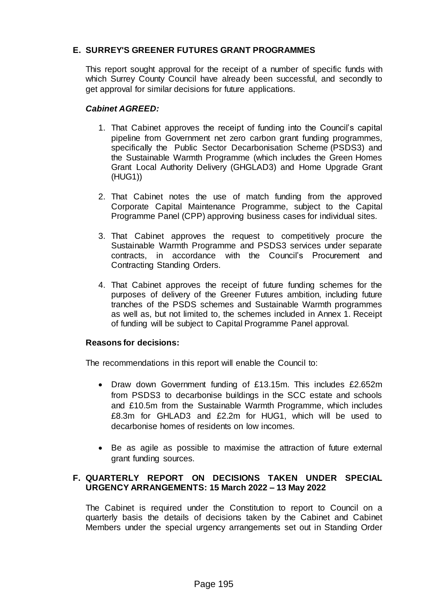# **E. SURREY'S GREENER FUTURES GRANT PROGRAMMES**

This report sought approval for the receipt of a number of specific funds with which Surrey County Council have already been successful, and secondly to get approval for similar decisions for future applications.

## *Cabinet AGREED:*

- 1. That Cabinet approves the receipt of funding into the Council's capital pipeline from Government net zero carbon grant funding programmes, specifically the Public Sector Decarbonisation Scheme (PSDS3) and the Sustainable Warmth Programme (which includes the Green Homes Grant Local Authority Delivery (GHGLAD3) and Home Upgrade Grant (HUG1))
- 2. That Cabinet notes the use of match funding from the approved Corporate Capital Maintenance Programme, subject to the Capital Programme Panel (CPP) approving business cases for individual sites.
- 3. That Cabinet approves the request to competitively procure the Sustainable Warmth Programme and PSDS3 services under separate contracts, in accordance with the Council's Procurement and Contracting Standing Orders.
- 4. That Cabinet approves the receipt of future funding schemes for the purposes of delivery of the Greener Futures ambition, including future tranches of the PSDS schemes and Sustainable Warmth programmes as well as, but not limited to, the schemes included in Annex 1. Receipt of funding will be subject to Capital Programme Panel approval.

## **Reasons for decisions:**

The recommendations in this report will enable the Council to:

- Draw down Government funding of £13.15m. This includes £2.652m from PSDS3 to decarbonise buildings in the SCC estate and schools and £10.5m from the Sustainable Warmth Programme, which includes £8.3m for GHLAD3 and £2.2m for HUG1, which will be used to decarbonise homes of residents on low incomes.
- Be as agile as possible to maximise the attraction of future external grant funding sources.

## **F. QUARTERLY REPORT ON DECISIONS TAKEN UNDER SPECIAL URGENCY ARRANGEMENTS: 15 March 2022 – 13 May 2022**

The Cabinet is required under the Constitution to report to Council on a quarterly basis the details of decisions taken by the Cabinet and Cabinet Members under the special urgency arrangements set out in Standing Order